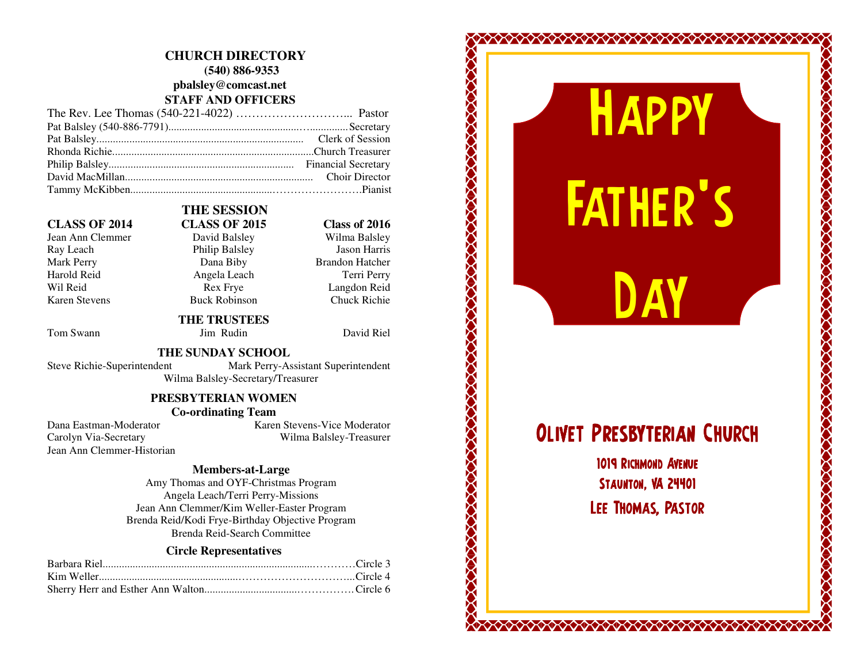### **CHURCH DIRECTORY (540) 886-9353 pbalsley@comcast.net STAFF AND OFFICERS**

#### **CLASS OF 2014 CLASS OF 2015 Class of 2016**

Jean Ann Clemmer David Balsley Ray Leach Philip Balsley Mark Perry **Dana Biby** Brandon Hatcher Harold Reid Angela Leach Wil Reid Rex Frye Langdon Reid Karen Stevens Buck Robinson

## **THE SESSION**

Wilma Balsley **Jason Harris** Terri Perry **Chuck Richie** 

## **THE TRUSTEES**

Tom Swann Jim Rudin David Riel

 **THE SUNDAY SCHOOL**  Steve Richie-Superintendent Mark Perry-Assistant Superintendent Wilma Balsley-Secretary/Treasurer

#### **PRESBYTERIAN WOMEN Co-ordinating Team**

Carolyn Via-Secretary Jean Ann Clemmer-Historian

Dana Eastman-Moderator Karen Stevens-Vice Moderator Wilma Balsley-Treasurer

#### **Members-at-Large**

 Amy Thomas and OYF-Christmas Program Angela Leach/Terri Perry-Missions Jean Ann Clemmer/Kim Weller-Easter Program Brenda Reid/Kodi Frye-Birthday Objective Program Brenda Reid-Search Committee

#### **Circle Representatives**

# HAPPY **FATHER'S**

# OLIVET PRESBYTERIAN CHURCH

**DAY** 

1019 RICHMOND AVENUE STAUNTON, VA 24401 LEE THOMAS, PASTOR